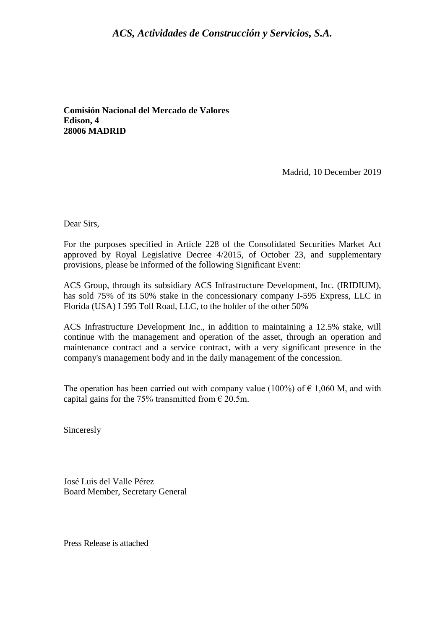## *ACS, Actividades de Construcción y Servicios, S.A.*

**Comisión Nacional del Mercado de Valores Edison, 4 28006 MADRID** 

Madrid, 10 December 2019

Dear Sirs,

For the purposes specified in Article 228 of the Consolidated Securities Market Act approved by Royal Legislative Decree 4/2015, of October 23, and supplementary provisions, please be informed of the following Significant Event:

ACS Group, through its subsidiary ACS Infrastructure Development, Inc. (IRIDIUM), has sold 75% of its 50% stake in the concessionary company I-595 Express, LLC in Florida (USA) I 595 Toll Road, LLC, to the holder of the other 50%

ACS Infrastructure Development Inc., in addition to maintaining a 12.5% stake, will continue with the management and operation of the asset, through an operation and maintenance contract and a service contract, with a very significant presence in the company's management body and in the daily management of the concession.

The operation has been carried out with company value (100%) of  $\epsilon$  1,060 M, and with capital gains for the 75% transmitted from  $\epsilon$  20.5m.

Sinceresly

José Luis del Valle Pérez Board Member, Secretary General

Press Release is attached